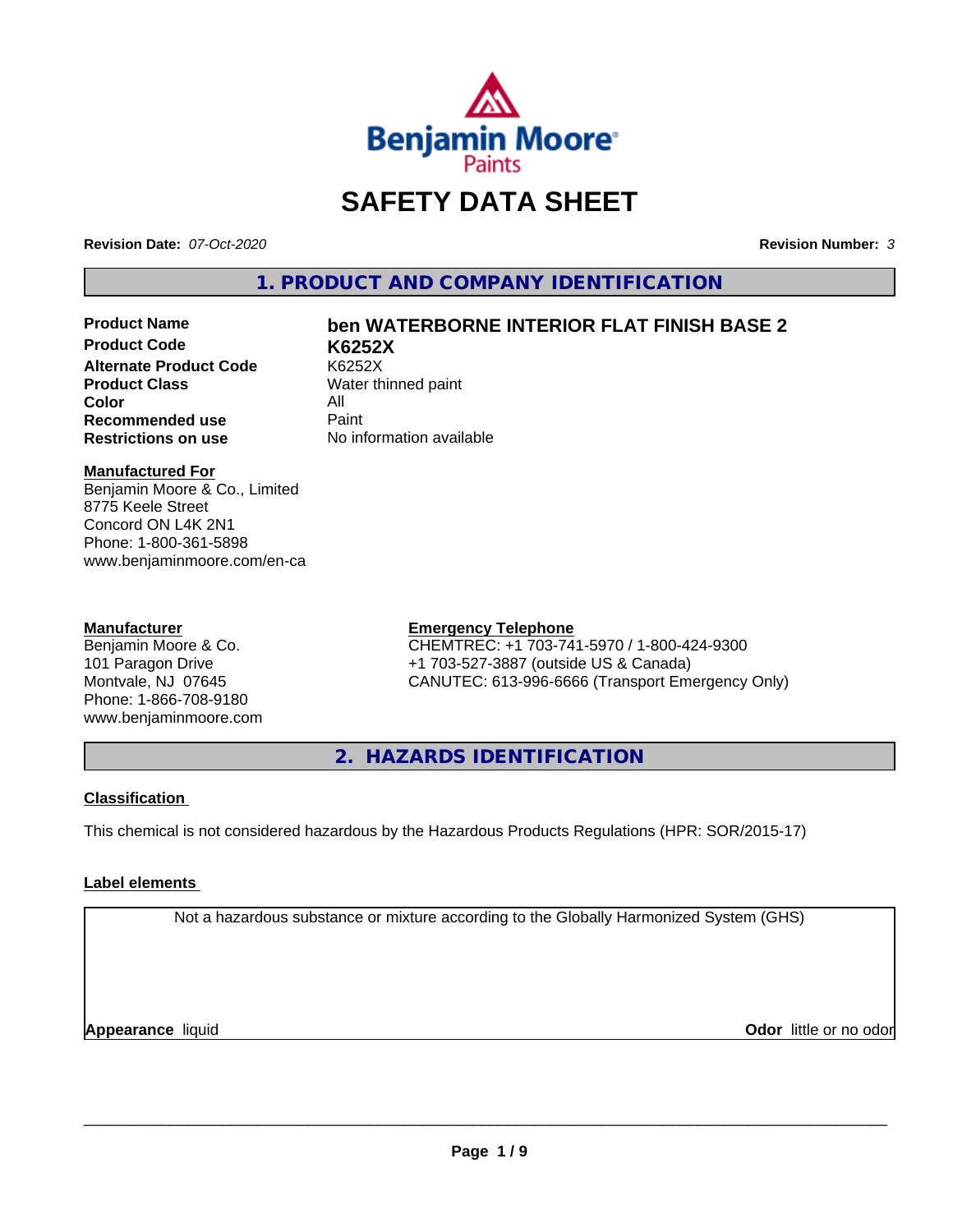

# **SAFETY DATA SHEET**

**Revision Date:** *07-Oct-2020* **Revision Number:** *3*

**1. PRODUCT AND COMPANY IDENTIFICATION**

**Product Code K6252X Alternate Product Code** K6252X<br> **Product Class** Water th **Color** All All<br>**Recommended use** Paint **Recommended use**<br>Restrictions on use

# **Product Name ben WATERBORNE INTERIOR FLAT FINISH BASE 2**

**Water thinned paint Restrictions on use** No information available

## **Manufactured For**

Benjamin Moore & Co., Limited 8775 Keele Street Concord ON L4K 2N1 Phone: 1-800-361-5898 www.benjaminmoore.com/en-ca

### **Manufacturer**

Benjamin Moore & Co. 101 Paragon Drive Montvale, NJ 07645 Phone: 1-866-708-9180 www.benjaminmoore.com

### **Emergency Telephone**

CHEMTREC: +1 703-741-5970 / 1-800-424-9300 +1 703-527-3887 (outside US & Canada) CANUTEC: 613-996-6666 (Transport Emergency Only)

**2. HAZARDS IDENTIFICATION**

# **Classification**

This chemical is not considered hazardous by the Hazardous Products Regulations (HPR: SOR/2015-17)

# **Label elements**

Not a hazardous substance or mixture according to the Globally Harmonized System (GHS)

**Appearance** liquid **CODO** *Appearance liquid* **Odor** *CODO CODO* **<b>***CODO CODO CODO CODO CODO*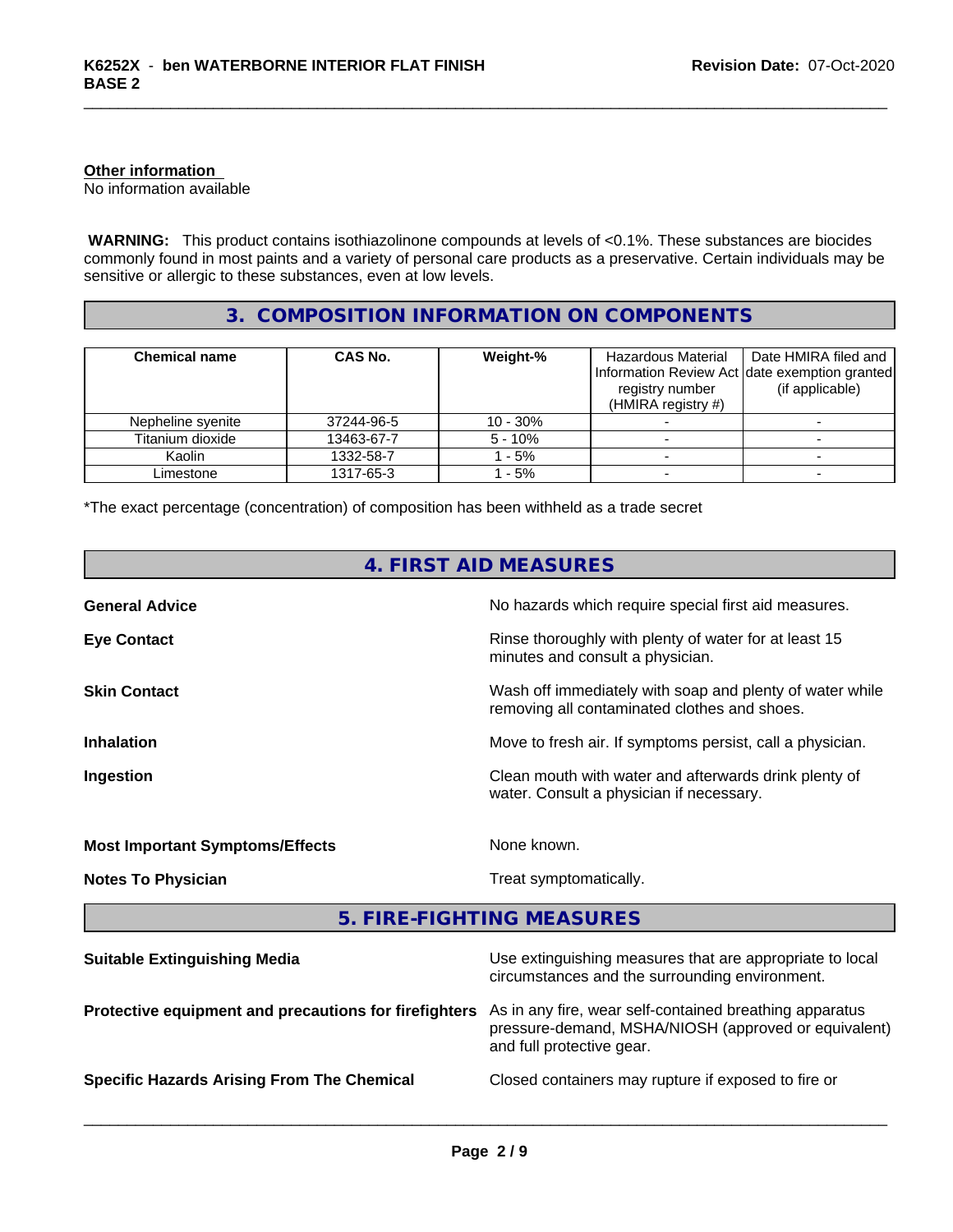# **Other information**

No information available

 **WARNING:** This product contains isothiazolinone compounds at levels of <0.1%. These substances are biocides commonly found in most paints and a variety of personal care products as a preservative. Certain individuals may be sensitive or allergic to these substances, even at low levels.

# **3. COMPOSITION INFORMATION ON COMPONENTS**

| <b>Chemical name</b> | <b>CAS No.</b> | Weight-%  | Hazardous Material<br>registry number<br>(HMIRA registry $#$ ) | Date HMIRA filed and<br>Information Review Act Idate exemption granted<br>(if applicable) |
|----------------------|----------------|-----------|----------------------------------------------------------------|-------------------------------------------------------------------------------------------|
| Nepheline syenite    | 37244-96-5     | 10 - 30%  |                                                                |                                                                                           |
| Titanium dioxide     | 13463-67-7     | $5 - 10%$ |                                                                |                                                                                           |
| Kaolin               | 1332-58-7      | - 5%      |                                                                |                                                                                           |
| Limestone            | 1317-65-3      | $-5%$     |                                                                |                                                                                           |

\*The exact percentage (concentration) of composition has been withheld as a trade secret

|                                                       | 4. FIRST AID MEASURES                                                                                                                        |
|-------------------------------------------------------|----------------------------------------------------------------------------------------------------------------------------------------------|
| <b>General Advice</b>                                 | No hazards which require special first aid measures.                                                                                         |
| <b>Eye Contact</b>                                    | Rinse thoroughly with plenty of water for at least 15<br>minutes and consult a physician.                                                    |
| <b>Skin Contact</b>                                   | Wash off immediately with soap and plenty of water while<br>removing all contaminated clothes and shoes.                                     |
| <b>Inhalation</b>                                     | Move to fresh air. If symptoms persist, call a physician.                                                                                    |
| Ingestion                                             | Clean mouth with water and afterwards drink plenty of<br>water. Consult a physician if necessary.                                            |
| <b>Most Important Symptoms/Effects</b>                | None known.                                                                                                                                  |
| <b>Notes To Physician</b>                             | Treat symptomatically.                                                                                                                       |
|                                                       | 5. FIRE-FIGHTING MEASURES                                                                                                                    |
| <b>Suitable Extinguishing Media</b>                   | Use extinguishing measures that are appropriate to local<br>circumstances and the surrounding environment.                                   |
| Protective equipment and precautions for firefighters | As in any fire, wear self-contained breathing apparatus<br>pressure-demand, MSHA/NIOSH (approved or equivalent)<br>and full protective gear. |
| <b>Specific Hazards Arising From The Chemical</b>     | Closed containers may rupture if exposed to fire or                                                                                          |
|                                                       |                                                                                                                                              |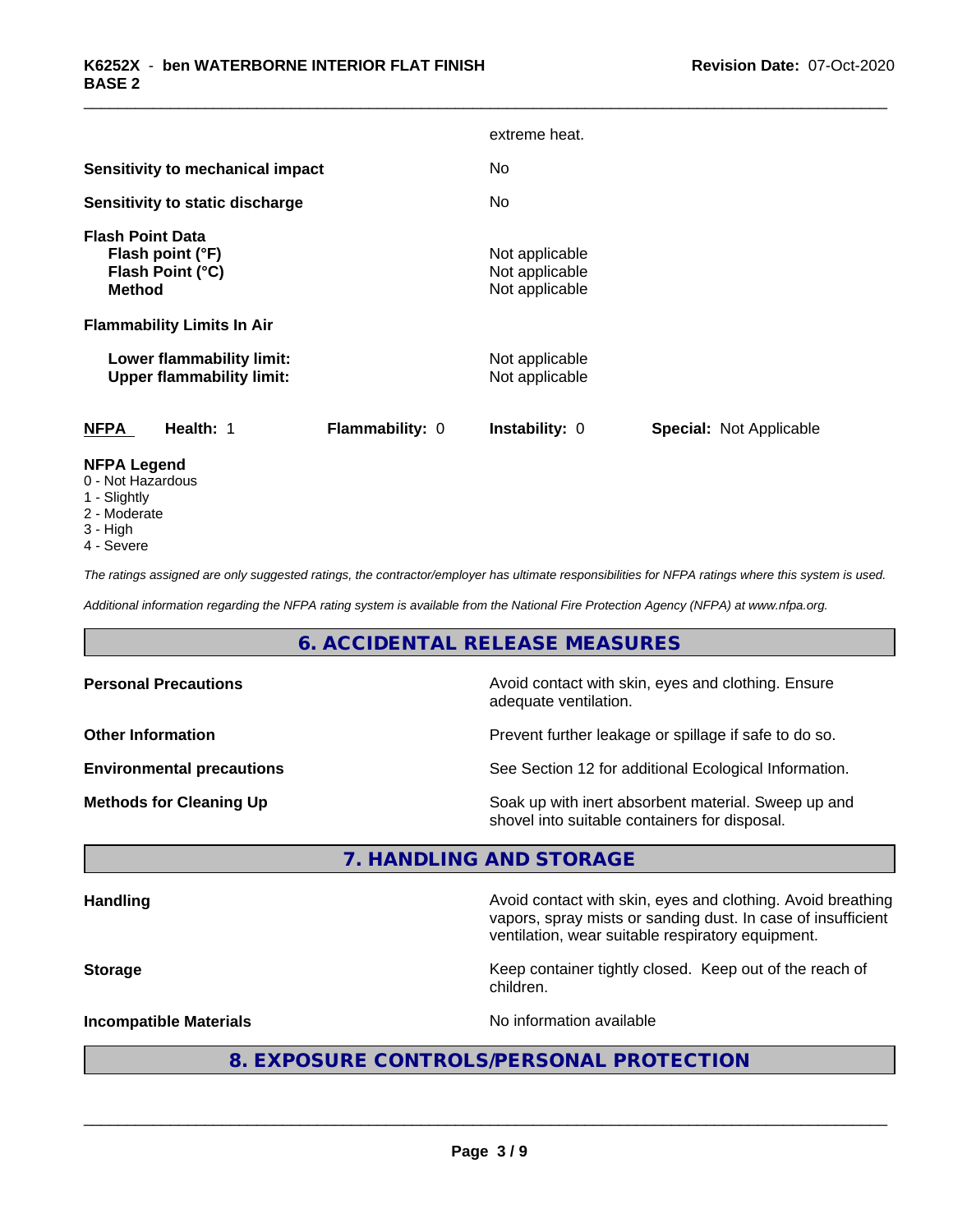|                                                                                  |                 | extreme heat.                                      |                                |
|----------------------------------------------------------------------------------|-----------------|----------------------------------------------------|--------------------------------|
| Sensitivity to mechanical impact                                                 |                 | No.                                                |                                |
| Sensitivity to static discharge                                                  |                 | No                                                 |                                |
| <b>Flash Point Data</b><br>Flash point (°F)<br>Flash Point (°C)<br><b>Method</b> |                 | Not applicable<br>Not applicable<br>Not applicable |                                |
| <b>Flammability Limits In Air</b>                                                |                 |                                                    |                                |
| Lower flammability limit:<br><b>Upper flammability limit:</b>                    |                 | Not applicable<br>Not applicable                   |                                |
| <b>NFPA</b><br>Health: 1                                                         | Flammability: 0 | Instability: 0                                     | <b>Special: Not Applicable</b> |
| <b>NFPA Legend</b><br>0 - Not Hazardous                                          |                 |                                                    |                                |

- 1 Slightly
- 2 Moderate
- 3 High
- 4 Severe

*The ratings assigned are only suggested ratings, the contractor/employer has ultimate responsibilities for NFPA ratings where this system is used.*

*Additional information regarding the NFPA rating system is available from the National Fire Protection Agency (NFPA) at www.nfpa.org.*

# **6. ACCIDENTAL RELEASE MEASURES**

| <b>Personal Precautions</b>      | Avoid contact with skin, eyes and clothing. Ensure<br>adequate ventilation.                          |
|----------------------------------|------------------------------------------------------------------------------------------------------|
| <b>Other Information</b>         | Prevent further leakage or spillage if safe to do so.                                                |
| <b>Environmental precautions</b> | See Section 12 for additional Ecological Information.                                                |
| <b>Methods for Cleaning Up</b>   | Soak up with inert absorbent material. Sweep up and<br>shovel into suitable containers for disposal. |

# **7. HANDLING AND STORAGE**

|  | <b>Handling</b> |  |
|--|-----------------|--|
|  |                 |  |

**Handling** Avoid contact with skin, eyes and clothing. Avoid breathing vapors, spray mists or sanding dust. In case of insufficient ventilation, wear suitable respiratory equipment.

**Storage Keep container tightly closed. Keep out of the reach of Keep** container tightly closed. Keep out of the reach of children.

**Incompatible Materials Incompatible Materials No information available** 

 $\overline{\phantom{a}}$  ,  $\overline{\phantom{a}}$  ,  $\overline{\phantom{a}}$  ,  $\overline{\phantom{a}}$  ,  $\overline{\phantom{a}}$  ,  $\overline{\phantom{a}}$  ,  $\overline{\phantom{a}}$  ,  $\overline{\phantom{a}}$  ,  $\overline{\phantom{a}}$  ,  $\overline{\phantom{a}}$  ,  $\overline{\phantom{a}}$  ,  $\overline{\phantom{a}}$  ,  $\overline{\phantom{a}}$  ,  $\overline{\phantom{a}}$  ,  $\overline{\phantom{a}}$  ,  $\overline{\phantom{a}}$ 

# **8. EXPOSURE CONTROLS/PERSONAL PROTECTION**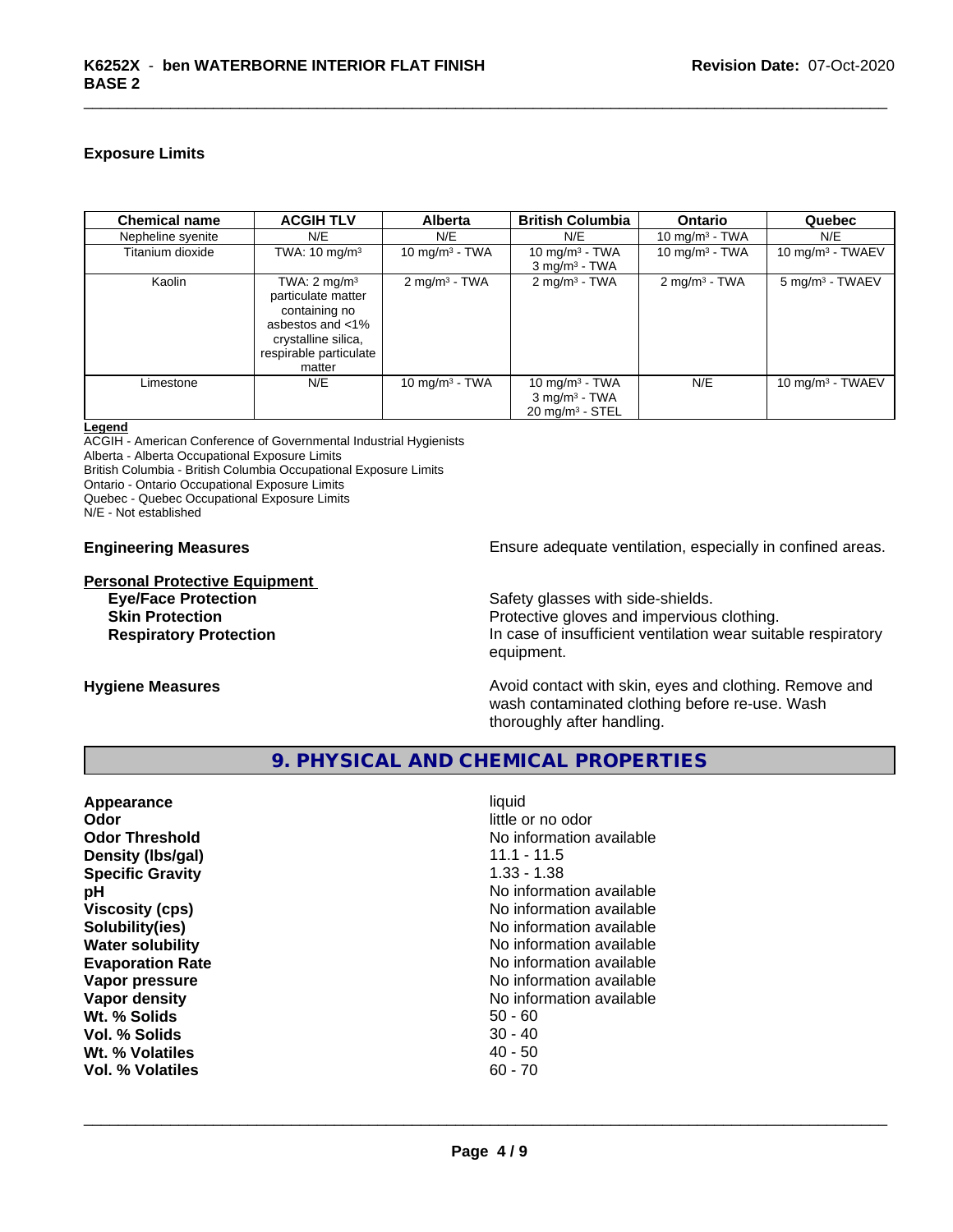# **Exposure Limits**

| <b>Chemical name</b> | <b>ACGIH TLV</b>                                                                                                                                 | <b>Alberta</b>             | <b>British Columbia</b>                                                     | <b>Ontario</b>           | Quebec                      |
|----------------------|--------------------------------------------------------------------------------------------------------------------------------------------------|----------------------------|-----------------------------------------------------------------------------|--------------------------|-----------------------------|
| Nepheline syenite    | N/E                                                                                                                                              | N/E                        | N/E                                                                         | 10 mg/m $3$ - TWA        | N/E                         |
| Titanium dioxide     | TWA: $10 \text{ mg/m}^3$                                                                                                                         | 10 mg/m <sup>3</sup> - TWA | 10 mg/m <sup>3</sup> - TWA<br>$3$ mg/m <sup>3</sup> - TWA                   | 10 mg/m $3$ - TWA        | 10 mg/m $3$ - TWAEV         |
| Kaolin               | TWA: $2 \text{ mg/m}^3$<br>particulate matter<br>containing no<br>asbestos and $<$ 1%<br>crystalline silica,<br>respirable particulate<br>matter | $2 \text{ mg/m}^3$ - TWA   | $2 \text{ mg/m}^3$ - TWA                                                    | $2 \text{ mg/m}^3$ - TWA | 5 mg/m <sup>3</sup> - TWAEV |
| Limestone            | N/E                                                                                                                                              | 10 mg/m $3$ - TWA          | 10 mg/m $3$ - TWA<br>$3 \text{ mg/m}^3$ - TWA<br>$20 \text{ mg/m}^3$ - STEL | N/E                      | 10 mg/m $3$ - TWAEV         |

#### **Legend**

ACGIH - American Conference of Governmental Industrial Hygienists

Alberta - Alberta Occupational Exposure Limits

British Columbia - British Columbia Occupational Exposure Limits

Ontario - Ontario Occupational Exposure Limits

Quebec - Quebec Occupational Exposure Limits

N/E - Not established

**Personal Protective Equipment**<br>**Eye/Face Protection** 

**Engineering Measures Ensure adequate ventilation, especially in confined areas.** 

Safety glasses with side-shields. **Skin Protection Protection Protective gloves and impervious clothing. Respiratory Protection In case of insufficient ventilation wear suitable respiratory** equipment.

**Hygiene Measures Avoid contact with skin, eyes and clothing. Remove and Avoid contact with skin, eyes and clothing. Remove and** wash contaminated clothing before re-use. Wash thoroughly after handling.

# **9. PHYSICAL AND CHEMICAL PROPERTIES**

| liquid<br>Appearance<br>little or no odor<br>Odor<br>No information available<br><b>Odor Threshold</b><br>$11.1 - 11.5$<br>Density (Ibs/gal)<br>$1.33 - 1.38$<br><b>Specific Gravity</b><br>No information available<br>рH<br>No information available<br><b>Viscosity (cps)</b><br>No information available<br>Solubility(ies)<br>No information available<br><b>Water solubility</b><br>No information available<br><b>Evaporation Rate</b><br>No information available<br>Vapor pressure<br>No information available<br>Vapor density<br>Wt. % Solids<br>$50 - 60$<br>$30 - 40$<br>Vol. % Solids<br>$40 - 50$<br>Wt. % Volatiles<br>$60 - 70$<br>Vol. % Volatiles |  |
|----------------------------------------------------------------------------------------------------------------------------------------------------------------------------------------------------------------------------------------------------------------------------------------------------------------------------------------------------------------------------------------------------------------------------------------------------------------------------------------------------------------------------------------------------------------------------------------------------------------------------------------------------------------------|--|
|----------------------------------------------------------------------------------------------------------------------------------------------------------------------------------------------------------------------------------------------------------------------------------------------------------------------------------------------------------------------------------------------------------------------------------------------------------------------------------------------------------------------------------------------------------------------------------------------------------------------------------------------------------------------|--|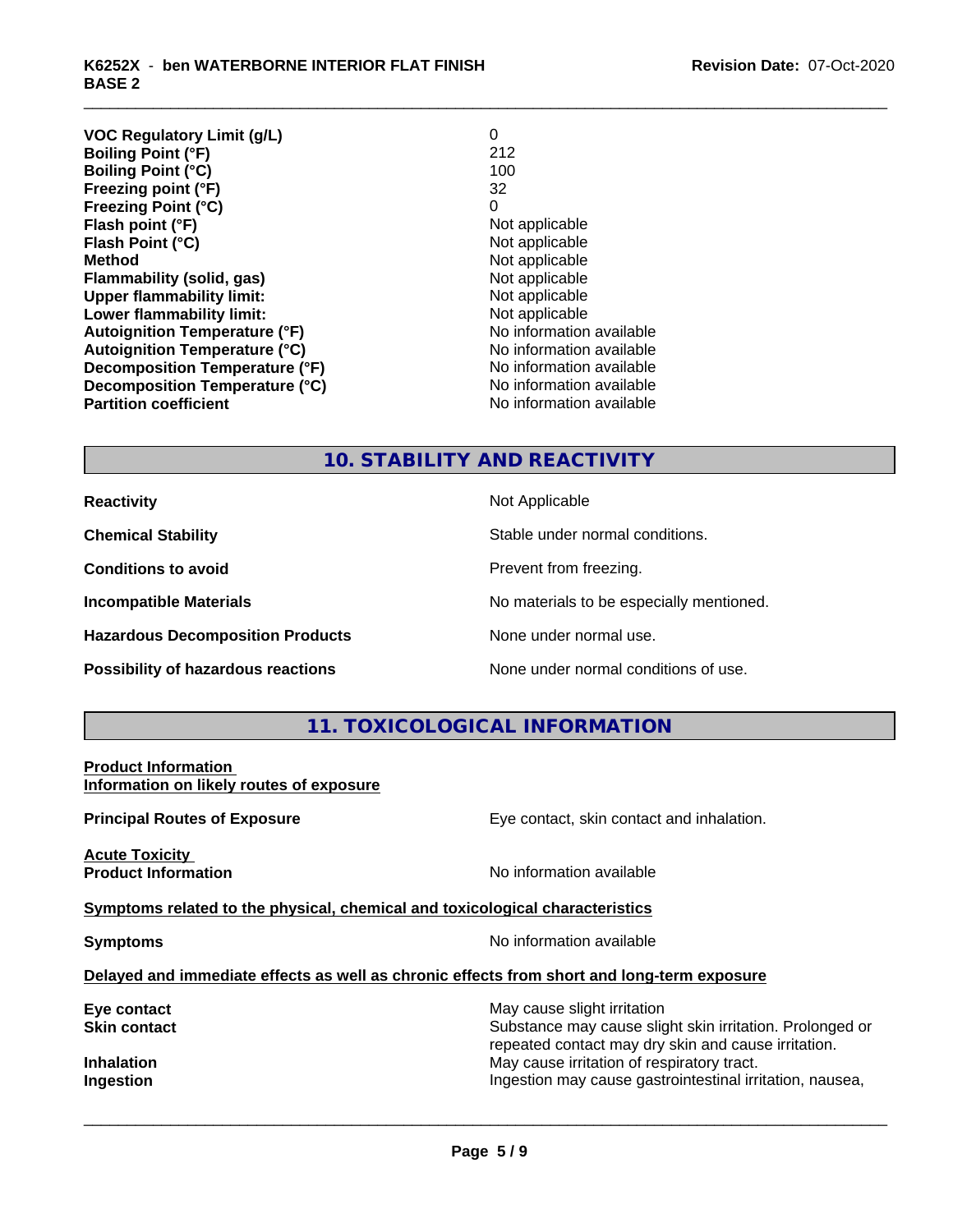| <b>VOC Regulatory Limit (g/L)</b>    | 0                        |
|--------------------------------------|--------------------------|
| <b>Boiling Point (°F)</b>            | 212                      |
| <b>Boiling Point (°C)</b>            | 100                      |
| Freezing point (°F)                  | 32                       |
| <b>Freezing Point (°C)</b>           | 0                        |
| Flash point (°F)                     | Not applicable           |
| Flash Point (°C)                     | Not applicable           |
| <b>Method</b>                        | Not applicable           |
| Flammability (solid, gas)            | Not applicable           |
| <b>Upper flammability limit:</b>     | Not applicable           |
| Lower flammability limit:            | Not applicable           |
| <b>Autoignition Temperature (°F)</b> | No information available |
| <b>Autoignition Temperature (°C)</b> | No information available |
| Decomposition Temperature (°F)       | No information available |
| Decomposition Temperature (°C)       | No information available |
| <b>Partition coefficient</b>         | No information available |
|                                      |                          |

# **10. STABILITY AND REACTIVITY**

**Hazardous Decomposition Products** None under normal use.

**Reactivity** Not Applicable

**Chemical Stability** Stable under normal conditions.

**Conditions to avoid Prevent from freezing.** 

**Incompatible Materials No materials** No materials to be especially mentioned.

**Possibility of hazardous reactions** None under normal conditions of use.

# **11. TOXICOLOGICAL INFORMATION**

**Product Information Information on likely routes of exposure**

**Acute Toxicity** 

**Principal Routes of Exposure Exposure** Eye contact, skin contact and inhalation.

**Product Information** 

**Symptoms related to the physical,chemical and toxicological characteristics**

**Symptoms** No information available

 $\overline{\phantom{a}}$  ,  $\overline{\phantom{a}}$  ,  $\overline{\phantom{a}}$  ,  $\overline{\phantom{a}}$  ,  $\overline{\phantom{a}}$  ,  $\overline{\phantom{a}}$  ,  $\overline{\phantom{a}}$  ,  $\overline{\phantom{a}}$  ,  $\overline{\phantom{a}}$  ,  $\overline{\phantom{a}}$  ,  $\overline{\phantom{a}}$  ,  $\overline{\phantom{a}}$  ,  $\overline{\phantom{a}}$  ,  $\overline{\phantom{a}}$  ,  $\overline{\phantom{a}}$  ,  $\overline{\phantom{a}}$ 

# **Delayed and immediate effects as well as chronic effects from short and long-term exposure**

**Eye contact Execution Skin contact** May cause slight irritation<br> **Skin contact** Contact Contact Contact Contact Contact Contact Contact Contact Contact Contact Contact Contact Conta Substance may cause slight skin irritation. Prolonged or repeated contact may dry skin and cause irritation. **Inhalation** May cause irritation of respiratory tract. **Ingestion Ingestion Ingestion may cause gastrointestinal irritation, nausea,**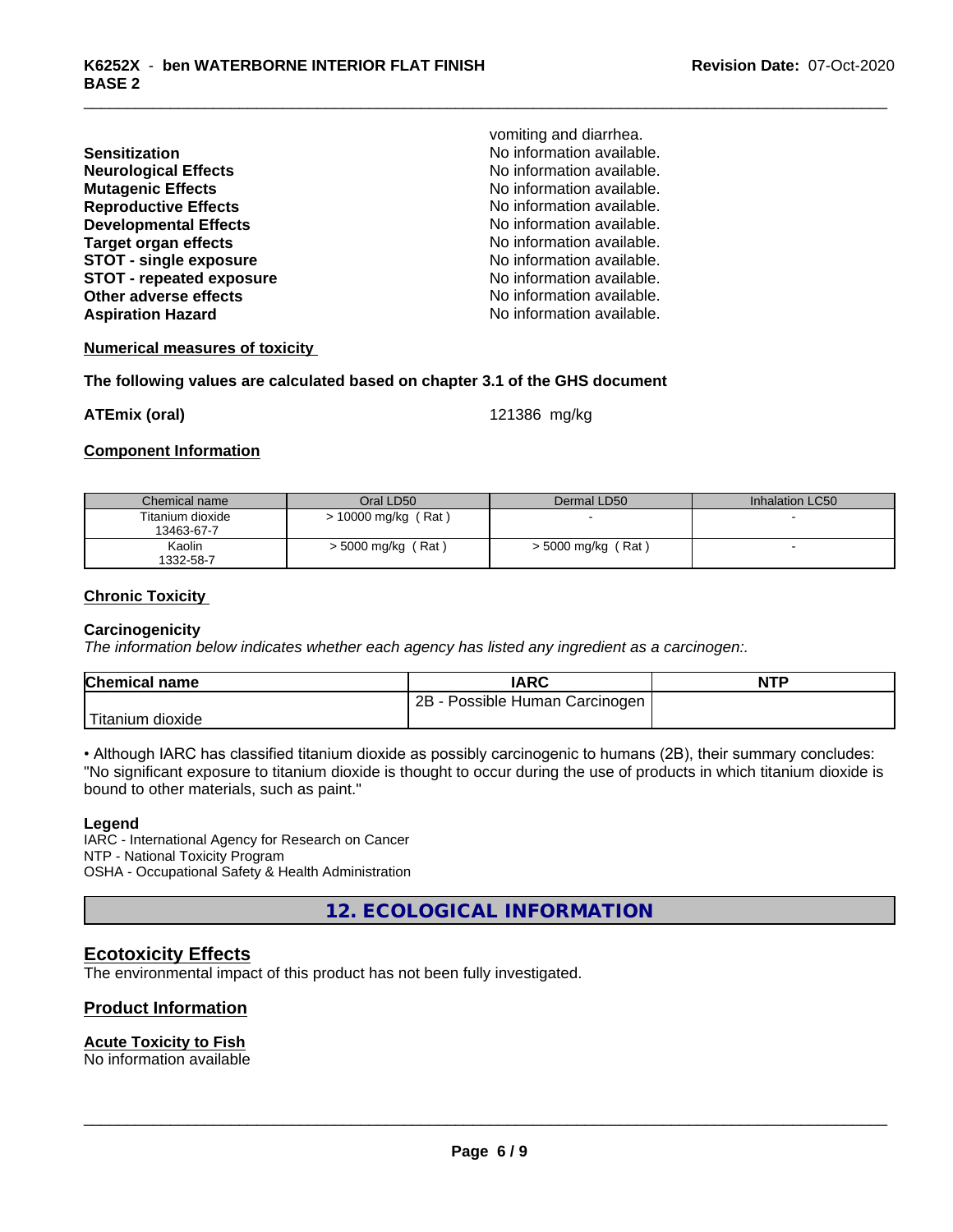| <b>Sensitization</b>            |  |
|---------------------------------|--|
| <b>Neurological Effects</b>     |  |
| <b>Mutagenic Effects</b>        |  |
| <b>Reproductive Effects</b>     |  |
| <b>Developmental Effects</b>    |  |
| <b>Target organ effects</b>     |  |
| <b>STOT - single exposure</b>   |  |
| <b>STOT - repeated exposure</b> |  |
| <b>Other adverse effects</b>    |  |
| <b>Aspiration Hazard</b>        |  |

vomiting and diarrhea. **Sensitization** No information available. **No information available.** No information available. **No information available. No information available.** No information available. **STOT - single exposure** No information available. **STOT - repeated exposure** No information available. No information available. No information available.

#### **Numerical measures of toxicity**

#### **The following values are calculated based on chapter 3.1 of the GHS document**

**ATEmix (oral)** 121386 mg/kg

#### **Component Information**

| Chemical name    | Oral LD50            | Dermal LD50        | Inhalation LC50 |
|------------------|----------------------|--------------------|-----------------|
| Titanium dioxide | > 10000 mg/kg (Rat)  |                    |                 |
| 13463-67-7       |                      |                    |                 |
| Kaolin           | $> 5000$ mg/kg (Rat) | > 5000 mg/kg (Rat) |                 |
| 1332-58-7        |                      |                    |                 |

#### **Chronic Toxicity**

#### **Carcinogenicity**

*The information below indicateswhether each agency has listed any ingredient as a carcinogen:.*

| <b>Chemical name</b>  | <b>IARC</b>                       | <b>NTP</b> |
|-----------------------|-----------------------------------|------------|
|                       | Possible Human Carcinogen I<br>2B |            |
| Titanium 、<br>dioxide |                                   |            |

• Although IARC has classified titanium dioxide as possibly carcinogenic to humans (2B), their summary concludes: "No significant exposure to titanium dioxide is thought to occur during the use of products in which titanium dioxide is bound to other materials, such as paint."

#### **Legend**

IARC - International Agency for Research on Cancer NTP - National Toxicity Program OSHA - Occupational Safety & Health Administration

**12. ECOLOGICAL INFORMATION**

# **Ecotoxicity Effects**

The environmental impact of this product has not been fully investigated.

# **Product Information**

### **Acute Toxicity to Fish**

No information available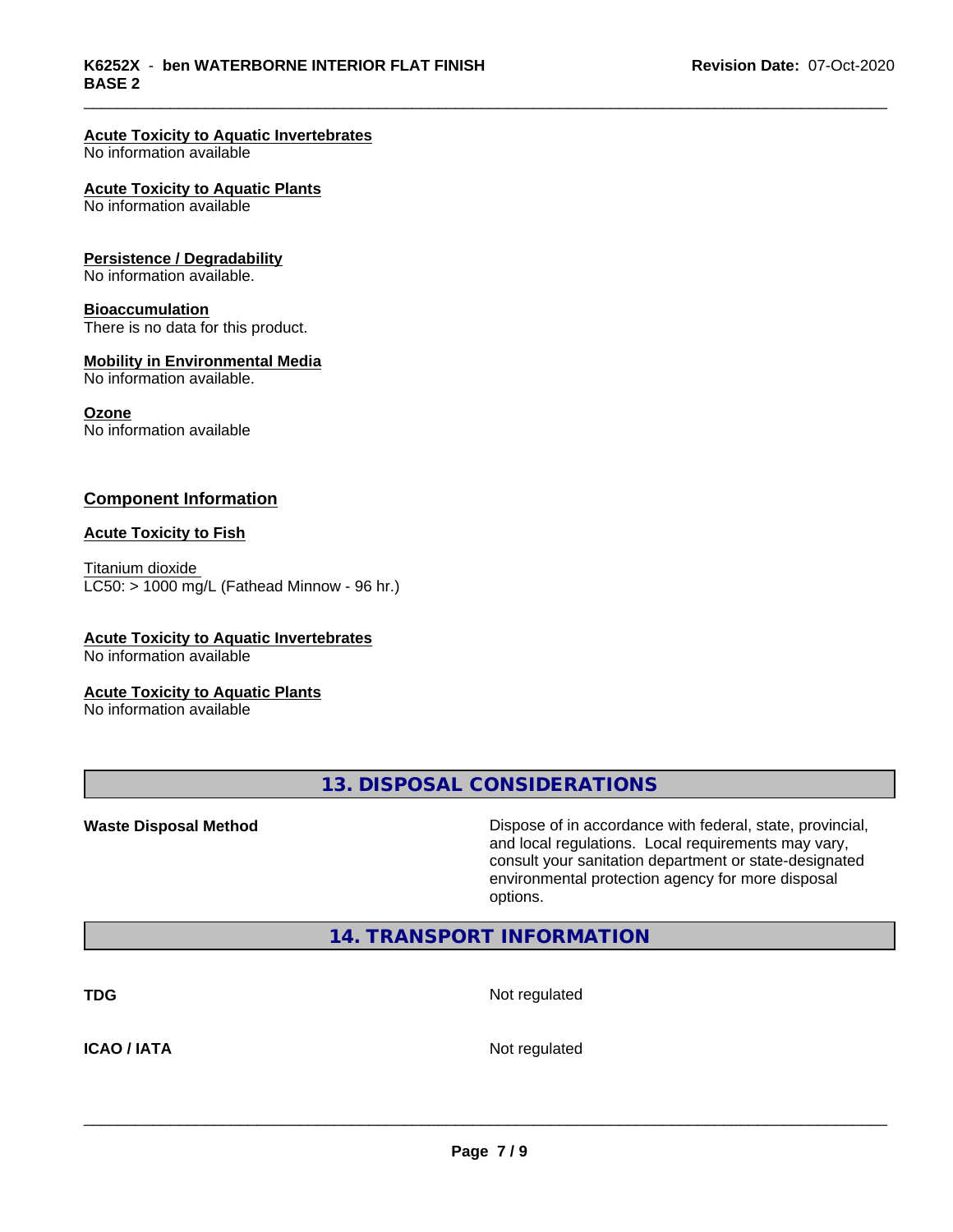### **Acute Toxicity to Aquatic Invertebrates**

No information available

#### **Acute Toxicity to Aquatic Plants**

No information available

#### **Persistence / Degradability**

No information available.

# **Bioaccumulation**

There is no data for this product.

#### **Mobility in Environmental Media**

No information available.

#### **Ozone**

No information available

## **Component Information**

#### **Acute Toxicity to Fish**

Titanium dioxide  $LC50:$  > 1000 mg/L (Fathead Minnow - 96 hr.)

### **Acute Toxicity to Aquatic Invertebrates**

No information available

# **Acute Toxicity to Aquatic Plants**

No information available

**13. DISPOSAL CONSIDERATIONS**

**Waste Disposal Method Dispose of in accordance with federal, state, provincial,** and local regulations. Local requirements may vary, consult your sanitation department or state-designated environmental protection agency for more disposal options.

# **14. TRANSPORT INFORMATION**

**TDG** Not regulated

**ICAO / IATA** Not regulated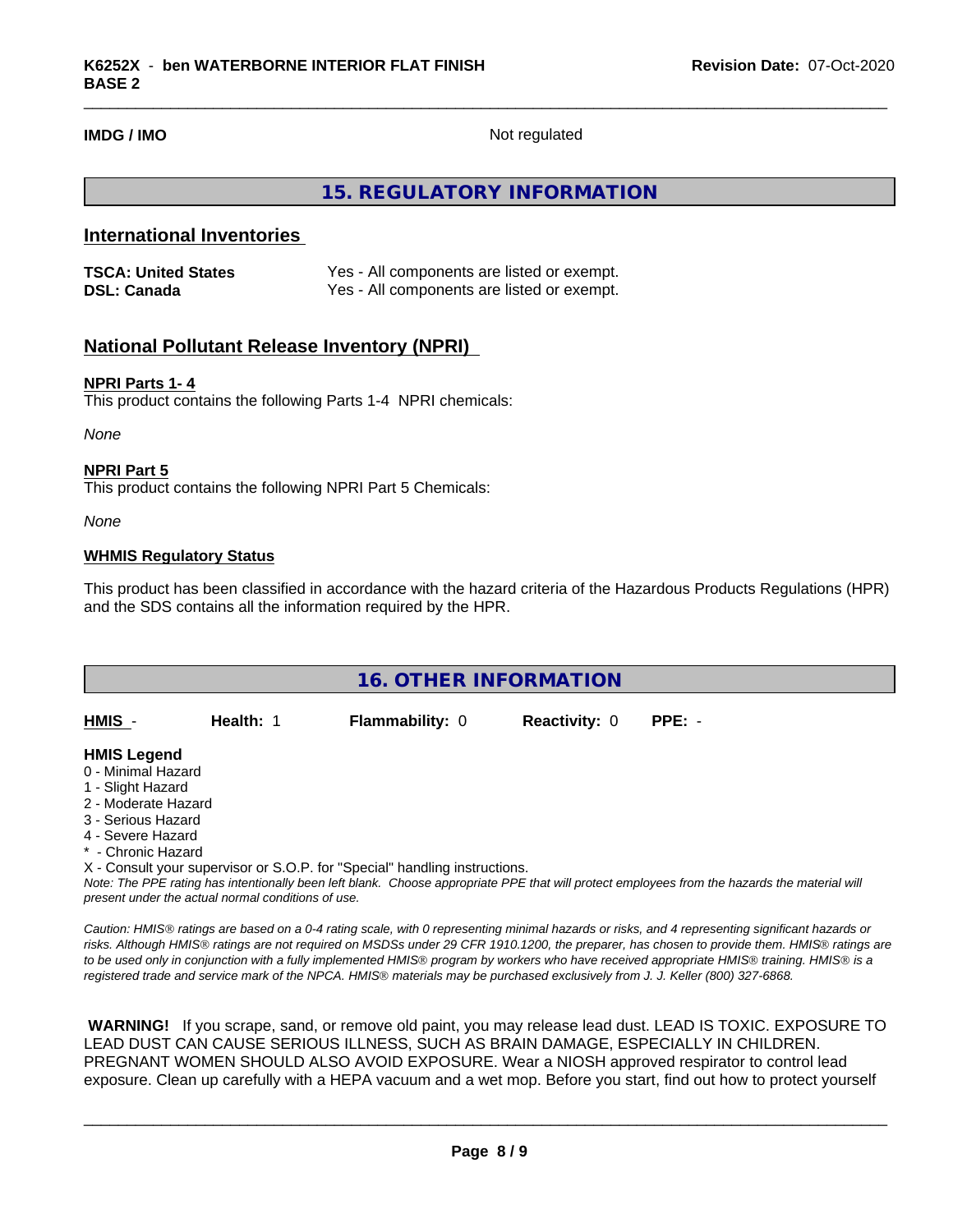**IMDG / IMO** Not regulated

# **15. REGULATORY INFORMATION**

# **International Inventories**

| <b>TSCA: United States</b> | Yes - All components are listed or exempt. |
|----------------------------|--------------------------------------------|
| <b>DSL: Canada</b>         | Yes - All components are listed or exempt. |

# **National Pollutant Release Inventory (NPRI)**

#### **NPRI Parts 1- 4**

This product contains the following Parts 1-4 NPRI chemicals:

*None*

#### **NPRI Part 5**

This product contains the following NPRI Part 5 Chemicals:

*None*

### **WHMIS Regulatory Status**

This product has been classified in accordance with the hazard criteria of the Hazardous Products Regulations (HPR) and the SDS contains all the information required by the HPR.

|                                                                                                                                                       | <b>16. OTHER INFORMATION</b>                       |                                                                            |                      |                                                                                                                                               |  |  |  |
|-------------------------------------------------------------------------------------------------------------------------------------------------------|----------------------------------------------------|----------------------------------------------------------------------------|----------------------|-----------------------------------------------------------------------------------------------------------------------------------------------|--|--|--|
|                                                                                                                                                       |                                                    |                                                                            |                      |                                                                                                                                               |  |  |  |
| HMIS -                                                                                                                                                | Health: 1                                          | <b>Flammability: 0</b>                                                     | <b>Reactivity: 0</b> | $PPE: -$                                                                                                                                      |  |  |  |
| <b>HMIS Legend</b><br>0 - Minimal Hazard<br>1 - Slight Hazard<br>2 - Moderate Hazard<br>3 - Serious Hazard<br>4 - Severe Hazard<br>* - Chronic Hazard |                                                    |                                                                            |                      |                                                                                                                                               |  |  |  |
|                                                                                                                                                       |                                                    | X - Consult your supervisor or S.O.P. for "Special" handling instructions. |                      |                                                                                                                                               |  |  |  |
|                                                                                                                                                       | present under the actual normal conditions of use. |                                                                            |                      | Note: The PPE rating has intentionally been left blank. Choose appropriate PPE that will protect employees from the hazards the material will |  |  |  |

*Caution: HMISÒ ratings are based on a 0-4 rating scale, with 0 representing minimal hazards or risks, and 4 representing significant hazards or risks. Although HMISÒ ratings are not required on MSDSs under 29 CFR 1910.1200, the preparer, has chosen to provide them. HMISÒ ratings are to be used only in conjunction with a fully implemented HMISÒ program by workers who have received appropriate HMISÒ training. HMISÒ is a registered trade and service mark of the NPCA. HMISÒ materials may be purchased exclusively from J. J. Keller (800) 327-6868.*

 **WARNING!** If you scrape, sand, or remove old paint, you may release lead dust. LEAD IS TOXIC. EXPOSURE TO LEAD DUST CAN CAUSE SERIOUS ILLNESS, SUCH AS BRAIN DAMAGE, ESPECIALLY IN CHILDREN. PREGNANT WOMEN SHOULD ALSO AVOID EXPOSURE.Wear a NIOSH approved respirator to control lead exposure. Clean up carefully with a HEPA vacuum and a wet mop. Before you start, find out how to protect yourself